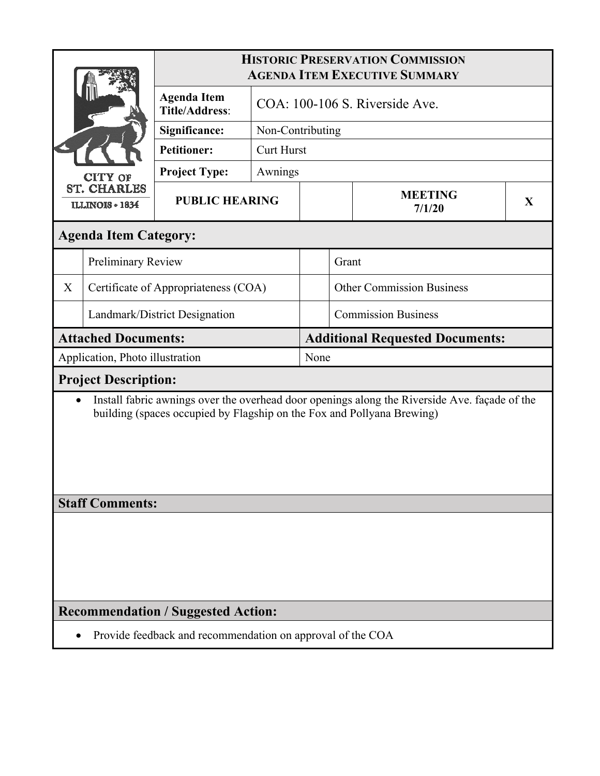| <b>CITY OF</b><br><b>ST. CHARLES</b><br><b>ILLINOIS + 1834</b>                                                                                                                       |                                 | <b>HISTORIC PRESERVATION COMMISSION</b><br><b>AGENDA ITEM EXECUTIVE SUMMARY</b> |                                |  |                            |                                        |              |  |  |
|--------------------------------------------------------------------------------------------------------------------------------------------------------------------------------------|---------------------------------|---------------------------------------------------------------------------------|--------------------------------|--|----------------------------|----------------------------------------|--------------|--|--|
|                                                                                                                                                                                      |                                 | <b>Agenda Item</b><br><b>Title/Address:</b>                                     | COA: 100-106 S. Riverside Ave. |  |                            |                                        |              |  |  |
|                                                                                                                                                                                      |                                 | Significance:                                                                   | Non-Contributing               |  |                            |                                        |              |  |  |
|                                                                                                                                                                                      |                                 | <b>Petitioner:</b>                                                              | <b>Curt Hurst</b>              |  |                            |                                        |              |  |  |
|                                                                                                                                                                                      |                                 | <b>Project Type:</b>                                                            | Awnings                        |  |                            |                                        |              |  |  |
|                                                                                                                                                                                      |                                 | <b>PUBLIC HEARING</b>                                                           |                                |  | <b>MEETING</b><br>7/1/20   |                                        | $\mathbf{X}$ |  |  |
|                                                                                                                                                                                      | <b>Agenda Item Category:</b>    |                                                                                 |                                |  |                            |                                        |              |  |  |
|                                                                                                                                                                                      | Preliminary Review              |                                                                                 |                                |  | Grant                      |                                        |              |  |  |
| X                                                                                                                                                                                    |                                 | Certificate of Appropriateness (COA)                                            |                                |  |                            | <b>Other Commission Business</b>       |              |  |  |
|                                                                                                                                                                                      | Landmark/District Designation   |                                                                                 |                                |  | <b>Commission Business</b> |                                        |              |  |  |
|                                                                                                                                                                                      | <b>Attached Documents:</b>      |                                                                                 |                                |  |                            | <b>Additional Requested Documents:</b> |              |  |  |
|                                                                                                                                                                                      | Application, Photo illustration |                                                                                 |                                |  | None                       |                                        |              |  |  |
| <b>Project Description:</b>                                                                                                                                                          |                                 |                                                                                 |                                |  |                            |                                        |              |  |  |
| Install fabric awnings over the overhead door openings along the Riverside Ave. façade of the<br>$\bullet$<br>building (spaces occupied by Flagship on the Fox and Pollyana Brewing) |                                 |                                                                                 |                                |  |                            |                                        |              |  |  |
| <b>Staff Comments:</b>                                                                                                                                                               |                                 |                                                                                 |                                |  |                            |                                        |              |  |  |
|                                                                                                                                                                                      |                                 |                                                                                 |                                |  |                            |                                        |              |  |  |
| <b>Recommendation / Suggested Action:</b>                                                                                                                                            |                                 |                                                                                 |                                |  |                            |                                        |              |  |  |
| Provide feedback and recommendation on approval of the COA                                                                                                                           |                                 |                                                                                 |                                |  |                            |                                        |              |  |  |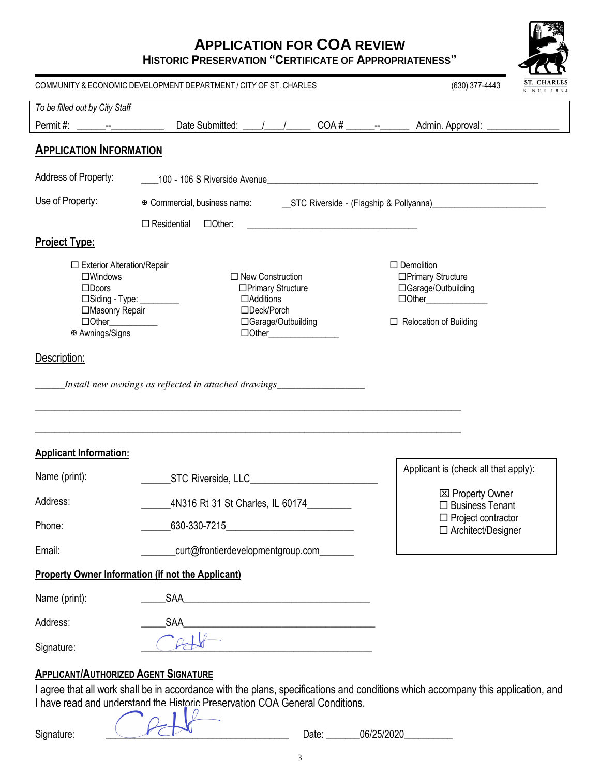## **APPLICATION FOR COA REVIEW**

**HISTORIC PRESERVATION "CERTIFICATE OF APPROPRIATENESS"**

|                                                                                                                                                                                         | COMMUNITY & ECONOMIC DEVELOPMENT DEPARTMENT / CITY OF ST. CHARLES                                                                                                                                                                                                            |  |  |  | (630) 377-4443                                                                                                                                                                                                                 | <b>ST. CHARLES</b><br>SINCE 1834 |  |
|-----------------------------------------------------------------------------------------------------------------------------------------------------------------------------------------|------------------------------------------------------------------------------------------------------------------------------------------------------------------------------------------------------------------------------------------------------------------------------|--|--|--|--------------------------------------------------------------------------------------------------------------------------------------------------------------------------------------------------------------------------------|----------------------------------|--|
| To be filled out by City Staff                                                                                                                                                          |                                                                                                                                                                                                                                                                              |  |  |  |                                                                                                                                                                                                                                |                                  |  |
|                                                                                                                                                                                         |                                                                                                                                                                                                                                                                              |  |  |  | Date Submitted: \[\state \] \[\state \] \] \[\state \] \] \] \] \] \[\state \] \[\state \] \] \] \] \[\state \] \] \[\state \] \] \] \] \[\state \] \] \] \] \[\state \] \] \] \] \] \[\state \] \] \] \] \] \[\state \] \] \] |                                  |  |
| <b>APPLICATION INFORMATION</b>                                                                                                                                                          |                                                                                                                                                                                                                                                                              |  |  |  |                                                                                                                                                                                                                                |                                  |  |
| Address of Property:                                                                                                                                                                    |                                                                                                                                                                                                                                                                              |  |  |  |                                                                                                                                                                                                                                |                                  |  |
| Use of Property:                                                                                                                                                                        |                                                                                                                                                                                                                                                                              |  |  |  |                                                                                                                                                                                                                                |                                  |  |
|                                                                                                                                                                                         | $\Box$ Residential $\Box$ Other:                                                                                                                                                                                                                                             |  |  |  |                                                                                                                                                                                                                                |                                  |  |
| <b>Project Type:</b>                                                                                                                                                                    |                                                                                                                                                                                                                                                                              |  |  |  |                                                                                                                                                                                                                                |                                  |  |
| □ Exterior Alteration/Repair<br>$\square$ Windows<br>$\square$ Doors<br>□Masonry Repair<br>$\Box$ Other $\_\_\_\_\_\_\_\_\_\_\_$<br><b><math>⊉</math> Awnings/Signs</b><br>Description: | $\Box$ New Construction<br>□Primary Structure<br>□Siding - Type: _________<br>$\Box$ Additions<br>□Deck/Porch<br>□ Garage/Outbuilding<br>Install new awnings as reflected in attached drawings___________________________                                                    |  |  |  | $\Box$ Demolition<br>□Primary Structure<br>□Garage/Outbuilding<br>$\Box$ Other<br>$\Box$ Relocation of Building                                                                                                                |                                  |  |
| <b>Applicant Information:</b>                                                                                                                                                           |                                                                                                                                                                                                                                                                              |  |  |  |                                                                                                                                                                                                                                |                                  |  |
| Name (print):                                                                                                                                                                           | Applicant is (check all that apply):<br>STC Riverside, LLC <b>Constantine and Constantine Constantine Constantine Constantine Constantine Constantine Constantine Constantine Constantine Constantine Constantine Constantine Constantine Constantine Constantine Consta</b> |  |  |  |                                                                                                                                                                                                                                |                                  |  |
| Address:                                                                                                                                                                                | <b>⊠ Property Owner</b><br>4N316 Rt 31 St Charles, IL 60174<br>$\Box$ Business Tenant<br>$\Box$ Project contractor<br>630-330-7215<br>$\Box$ Architect/Designer                                                                                                              |  |  |  |                                                                                                                                                                                                                                |                                  |  |
| Phone:                                                                                                                                                                                  |                                                                                                                                                                                                                                                                              |  |  |  |                                                                                                                                                                                                                                |                                  |  |
| Email:                                                                                                                                                                                  | _curt@frontierdevelopmentgroup.com_______                                                                                                                                                                                                                                    |  |  |  |                                                                                                                                                                                                                                |                                  |  |
|                                                                                                                                                                                         | <b>Property Owner Information (if not the Applicant)</b>                                                                                                                                                                                                                     |  |  |  |                                                                                                                                                                                                                                |                                  |  |
| Name (print):                                                                                                                                                                           | SAA                                                                                                                                                                                                                                                                          |  |  |  |                                                                                                                                                                                                                                |                                  |  |
| Address:                                                                                                                                                                                | SAA                                                                                                                                                                                                                                                                          |  |  |  |                                                                                                                                                                                                                                |                                  |  |
| Signature:                                                                                                                                                                              |                                                                                                                                                                                                                                                                              |  |  |  |                                                                                                                                                                                                                                |                                  |  |
| <b>APPLICANT/AUTHORIZED AGENT SIGNATURE</b>                                                                                                                                             | I agree that all work shall be in accordance with the plans, specifications and conditions which accompany this application, and<br>I have read and understand the Historic Preservation COA General Conditions.                                                             |  |  |  |                                                                                                                                                                                                                                |                                  |  |

| <u>ווט עווייהואיינו וויה וויאיגוריהואיינו עם עוו</u> |  |
|------------------------------------------------------|--|
|                                                      |  |

Signature:

\_\_\_\_\_\_\_\_ Date: \_\_\_\_\_\_\_06/25/2020\_\_\_\_\_\_\_\_\_\_\_\_